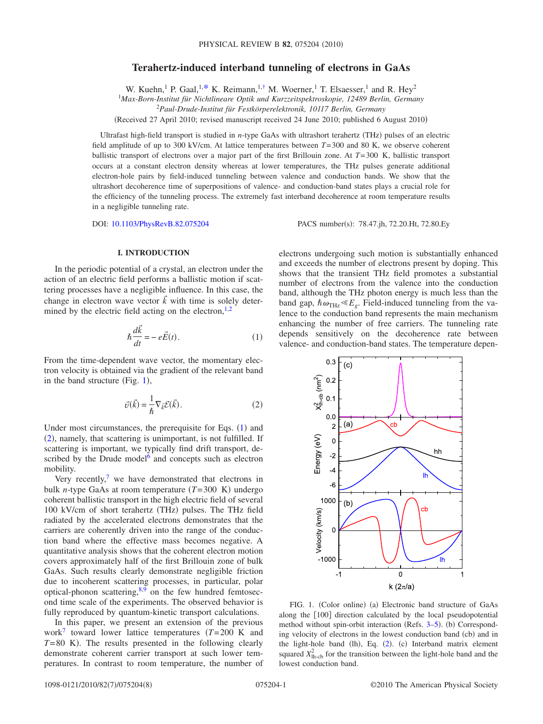# **Terahertz-induced interband tunneling of electrons in GaAs**

W. Kuehn,<sup>1</sup> P. Gaal,<sup>1[,\\*](#page-6-0)</sup> K. Reimann,<sup>1[,†](#page-6-1)</sup> M. Woerner,<sup>1</sup> T. Elsaesser,<sup>1</sup> and R. Hey<sup>2</sup>

1 *Max-Born-Institut für Nichtlineare Optik und Kurzzeitspektroskopie, 12489 Berlin, Germany*

2 *Paul-Drude-Institut für Festkörperelektronik, 10117 Berlin, Germany*

Received 27 April 2010; revised manuscript received 24 June 2010; published 6 August 2010-

Ultrafast high-field transport is studied in *n*-type GaAs with ultrashort terahertz (THz) pulses of an electric field amplitude of up to 300 kV/cm. At lattice temperatures between *T*=300 and 80 K, we observe coherent ballistic transport of electrons over a major part of the first Brillouin zone. At *T*=300 K, ballistic transport occurs at a constant electron density whereas at lower temperatures, the THz pulses generate additional electron-hole pairs by field-induced tunneling between valence and conduction bands. We show that the ultrashort decoherence time of superpositions of valence- and conduction-band states plays a crucial role for the efficiency of the tunneling process. The extremely fast interband decoherence at room temperature results in a negligible tunneling rate.

DOI: [10.1103/PhysRevB.82.075204](http://dx.doi.org/10.1103/PhysRevB.82.075204)

PACS number(s): 78.47.jh, 72.20.Ht, 72.80.Ey

## **I. INTRODUCTION**

In the periodic potential of a crystal, an electron under the action of an electric field performs a ballistic motion if scattering processes have a negligible influence. In this case, the change in electron wave vector  $\vec{k}$  with time is solely determined by the electric field acting on the electron, $1,2$  $1,2$ 

$$
\hbar \frac{d\vec{k}}{dt} = -e\vec{E}(t). \tag{1}
$$

<span id="page-0-1"></span>From the time-dependent wave vector, the momentary electron velocity is obtained via the gradient of the relevant band in the band structure (Fig.  $1$ ),

$$
\vec{v}(\vec{k}) = \frac{1}{\hbar} \nabla_{\vec{k}} \mathcal{E}(\vec{k}).
$$
\n(2)

<span id="page-0-2"></span>Under most circumstances, the prerequisite for Eqs.  $(1)$  $(1)$  $(1)$  and ([2](#page-0-2)), namely, that scattering is unimportant, is not fulfilled. If scattering is important, we typically find drift transport, described by the Drude model $6$  and concepts such as electron mobility.

Very recently, $\frac{7}{7}$  we have demonstrated that electrons in bulk *n*-type GaAs at room temperature  $(T=300 \text{ K})$  undergo coherent ballistic transport in the high electric field of several 100 kV/cm of short terahertz (THz) pulses. The THz field radiated by the accelerated electrons demonstrates that the carriers are coherently driven into the range of the conduction band where the effective mass becomes negative. A quantitative analysis shows that the coherent electron motion covers approximately half of the first Brillouin zone of bulk GaAs. Such results clearly demonstrate negligible friction due to incoherent scattering processes, in particular, polar optical-phonon scattering, $8,9$  $8,9$  on the few hundred femtosecond time scale of the experiments. The observed behavior is fully reproduced by quantum-kinetic transport calculations.

In this paper, we present an extension of the previous work<sup>7</sup> toward lower lattice temperatures  $(T=200 \text{ K}$  and  $T=80$  K). The results presented in the following clearly demonstrate coherent carrier transport at such lower temperatures. In contrast to room temperature, the number of electrons undergoing such motion is substantially enhanced and exceeds the number of electrons present by doping. This shows that the transient THz field promotes a substantial number of electrons from the valence into the conduction band, although the THz photon energy is much less than the band gap,  $\hbar \omega_{\text{THz}} \ll E_g$ . Field-induced tunneling from the valence to the conduction band represents the main mechanism enhancing the number of free carriers. The tunneling rate depends sensitively on the decoherence rate between valence- and conduction-band states. The temperature depen-

<span id="page-0-0"></span>

FIG. 1. (Color online) (a) Electronic band structure of GaAs along the  $[100]$  direction calculated by the local pseudopotential method without spin-orbit interaction (Refs. [3–](#page-6-8)[5](#page-6-9)). (b) Corresponding velocity of electrons in the lowest conduction band (cb) and in the light-hole band (lh), Eq. ([2](#page-0-2)). (c) Interband matrix element squared  $X_{\text{lh-cb}}^2$  for the transition between the light-hole band and the lowest conduction band.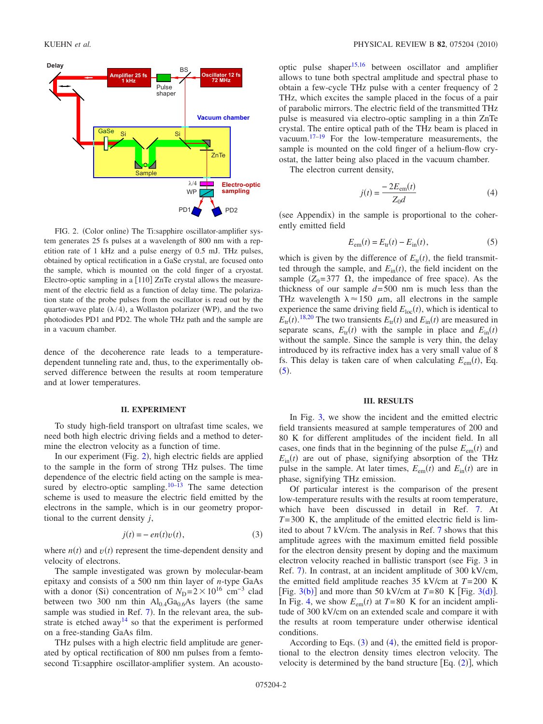<span id="page-1-0"></span>

FIG. 2. (Color online) The Ti:sapphire oscillator-amplifier system generates 25 fs pulses at a wavelength of 800 nm with a repetition rate of 1 kHz and a pulse energy of 0.5 mJ. THz pulses, obtained by optical rectification in a GaSe crystal, are focused onto the sample, which is mounted on the cold finger of a cryostat. Electro-optic sampling in a  $[110]$  ZnTe crystal allows the measurement of the electric field as a function of delay time. The polarization state of the probe pulses from the oscillator is read out by the quarter-wave plate  $(\lambda/4)$ , a Wollaston polarizer (WP), and the two photodiodes PD1 and PD2. The whole THz path and the sample are in a vacuum chamber.

dence of the decoherence rate leads to a temperaturedependent tunneling rate and, thus, to the experimentally observed difference between the results at room temperature and at lower temperatures.

#### **II. EXPERIMENT**

To study high-field transport on ultrafast time scales, we need both high electric driving fields and a method to determine the electron velocity as a function of time.

In our experiment (Fig. [2](#page-1-0)), high electric fields are applied to the sample in the form of strong THz pulses. The time dependence of the electric field acting on the sample is mea-sured by electro-optic sampling.<sup>10[–13](#page-6-11)</sup> The same detection scheme is used to measure the electric field emitted by the electrons in the sample, which is in our geometry proportional to the current density *j*,

$$
j(t) = -en(t)v(t),
$$
\n(3)

<span id="page-1-2"></span>where  $n(t)$  and  $v(t)$  represent the time-dependent density and velocity of electrons.

The sample investigated was grown by molecular-beam epitaxy and consists of a 500 nm thin layer of *n*-type GaAs with a donor (Si) concentration of  $N_{\text{D}} = 2 \times 10^{16} \text{ cm}^{-3}$  clad between two 300 nm thin  $Al_{0.4}Ga_{0.6}As$  layers (the same sample was studied in Ref. [7](#page-6-5)). In the relevant area, the substrate is etched away<sup>14</sup> so that the experiment is performed on a free-standing GaAs film.

THz pulses with a high electric field amplitude are generated by optical rectification of 800 nm pulses from a femtosecond Ti:sapphire oscillator-amplifier system. An acoustooptic pulse shaper<sup>15,[16](#page-6-14)</sup> between oscillator and amplifier allows to tune both spectral amplitude and spectral phase to obtain a few-cycle THz pulse with a center frequency of 2 THz, which excites the sample placed in the focus of a pair of parabolic mirrors. The electric field of the transmitted THz pulse is measured via electro-optic sampling in a thin ZnTe crystal. The entire optical path of the THz beam is placed in vacuum[.17](#page-6-15)[–19](#page-6-16) For the low-temperature measurements, the sample is mounted on the cold finger of a helium-flow cryostat, the latter being also placed in the vacuum chamber.

<span id="page-1-3"></span>The electron current density,

$$
j(t) = \frac{-2E_{\text{em}}(t)}{Z_0 d} \tag{4}
$$

(see Appendix) in the sample is proportional to the coherently emitted field

$$
E_{\rm em}(t) = E_{\rm tr}(t) - E_{\rm in}(t),\tag{5}
$$

<span id="page-1-1"></span>which is given by the difference of  $E_{tr}(t)$ , the field transmitted through the sample, and  $E_{\text{in}}(t)$ , the field incident on the sample  $(Z_0 = 377 \Omega)$ , the impedance of free space). As the thickness of our sample *d*=500 nm is much less than the THz wavelength  $\lambda \approx 150 \mu$ m, all electrons in the sample experience the same driving field  $E_{loc}(t)$ , which is identical to  $E_{\text{tr}}(t)$ .<sup>[18,](#page-6-17)[20](#page-6-18)</sup> The two transients  $E_{\text{tr}}(t)$  and  $E_{\text{in}}(t)$  are measured in separate scans,  $E_{tr}(t)$  with the sample in place and  $E_{in}(t)$ without the sample. Since the sample is very thin, the delay introduced by its refractive index has a very small value of 8 fs. This delay is taken care of when calculating  $E_{em}(t)$ , Eq.  $(5).$  $(5).$  $(5).$ 

### **III. RESULTS**

In Fig. [3,](#page-2-0) we show the incident and the emitted electric field transients measured at sample temperatures of 200 and 80 K for different amplitudes of the incident field. In all cases, one finds that in the beginning of the pulse  $E_{em}(t)$  and  $E_{\text{in}}(t)$  are out of phase, signifying absorption of the THz pulse in the sample. At later times,  $E_{em}(t)$  and  $E_{in}(t)$  are in phase, signifying THz emission.

Of particular interest is the comparison of the present low-temperature results with the results at room temperature, which have been discussed in detail in Ref. [7.](#page-6-5) At *T*=300 K, the amplitude of the emitted electric field is limited to about 7 kV/cm. The analysis in Ref. [7](#page-6-5) shows that this amplitude agrees with the maximum emitted field possible for the electron density present by doping and the maximum electron velocity reached in ballistic transport (see Fig. 3 in Ref. [7](#page-6-5)). In contrast, at an incident amplitude of 300 kV/cm, the emitted field amplitude reaches 35 kV/cm at *T*=200 K [Fig.  $3(b)$  $3(b)$ ] and more than 50 kV/cm at  $T=80$  K [Fig.  $3(d)$ ]. In Fig. [4,](#page-2-1) we show  $E_{em}(t)$  at  $T=80$  K for an incident amplitude of 300 kV/cm on an extended scale and compare it with the results at room temperature under otherwise identical conditions.

According to Eqs.  $(3)$  $(3)$  $(3)$  and  $(4)$  $(4)$  $(4)$ , the emitted field is proportional to the electron density times electron velocity. The velocity is determined by the band structure  $[Eq. (2)]$  $[Eq. (2)]$  $[Eq. (2)]$ , which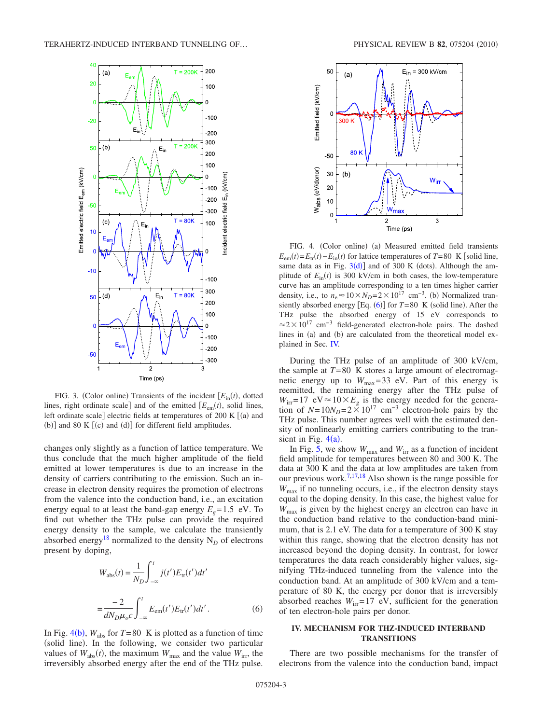<span id="page-2-0"></span>

FIG. 3. (Color online) Transients of the incident  $[E_{\text{in}}(t)$ , dotted lines, right ordinate scale] and of the emitted  $[E_{em}(t)$ , solid lines, left ordinate scale] electric fields at temperatures of 200 K  $[(a)$  and (b)] and 80 K  $[(c)$  and  $(d)]$  for different field amplitudes.

changes only slightly as a function of lattice temperature. We thus conclude that the much higher amplitude of the field emitted at lower temperatures is due to an increase in the density of carriers contributing to the emission. Such an increase in electron density requires the promotion of electrons from the valence into the conduction band, i.e., an excitation energy equal to at least the band-gap energy  $E<sub>g</sub> = 1.5$  eV. To find out whether the THz pulse can provide the required energy density to the sample, we calculate the transiently absorbed energy<sup>18</sup> normalized to the density  $N_D$  of electrons present by doping,

<span id="page-2-2"></span>
$$
W_{\rm abs}(t) = \frac{1}{N_D} \int_{-\infty}^{t} j(t') E_{\rm tr}(t') dt'
$$

$$
= \frac{-2}{dN_D \mu_o c} \int_{-\infty}^{t} E_{\rm em}(t') E_{\rm tr}(t') dt'.
$$
(6)

In Fig. [4](#page-2-1)(b),  $W_{\text{abs}}$  for  $T=80$  K is plotted as a function of time (solid line). In the following, we consider two particular values of  $W_{\text{abs}}(t)$ , the maximum  $W_{\text{max}}$  and the value  $W_{\text{irr}}$ , the irreversibly absorbed energy after the end of the THz pulse.

<span id="page-2-1"></span>

FIG. 4. (Color online) (a) Measured emitted field transients  $E_{\text{em}}(t) = E_{\text{tr}}(t) - E_{\text{in}}(t)$  for lattice temperatures of *T*=80 K [solid line, same data as in Fig.  $3(d)$  $3(d)$ ] and of 300 K (dots). Although the amplitude of  $E_{\text{in}}(t)$  is 300 kV/cm in both cases, the low-temperature curve has an amplitude corresponding to a ten times higher carrier density, i.e., to  $n_e \approx 10 \times N_D = 2 \times 10^{17}$  cm<sup>-3</sup>. (b) Normalized transiently absorbed energy  $[Eq. (6)]$  $[Eq. (6)]$  $[Eq. (6)]$  for  $T=80$  K (solid line). After the THz pulse the absorbed energy of 15 eV corresponds to  $\approx$ 2×10<sup>17</sup> cm<sup>-3</sup> field-generated electron-hole pairs. The dashed lines in (a) and (b) are calculated from the theoretical model explained in Sec. [IV.](#page-2-3)

During the THz pulse of an amplitude of 300 kV/cm, the sample at  $T=80$  K stores a large amount of electromagnetic energy up to  $W_{\text{max}}=33$  eV. Part of this energy is reemitted, the remaining energy after the THz pulse of  $W_{irr}=17$  eV $\approx$  10 $\times E_g$  is the energy needed for the generation of  $N=10N_D=2\times10^{17}$  cm<sup>-3</sup> electron-hole pairs by the THz pulse. This number agrees well with the estimated density of nonlinearly emitting carriers contributing to the transient in Fig.  $4(a)$  $4(a)$ .

In Fig. [5,](#page-3-0) we show  $W_{\text{max}}$  and  $W_{\text{irr}}$  as a function of incident field amplitude for temperatures between 80 and 300 K. The data at 300 K and the data at low amplitudes are taken from our previous work.<sup>7[,17](#page-6-15)[,18](#page-6-17)</sup> Also shown is the range possible for *W*max if no tunneling occurs, i.e., if the electron density stays equal to the doping density. In this case, the highest value for  $W_{\text{max}}$  is given by the highest energy an electron can have in the conduction band relative to the conduction-band minimum, that is 2.1 eV. The data for a temperature of 300 K stay within this range, showing that the electron density has not increased beyond the doping density. In contrast, for lower temperatures the data reach considerably higher values, signifying THz-induced tunneling from the valence into the conduction band. At an amplitude of 300 kV/cm and a temperature of 80 K, the energy per donor that is irreversibly absorbed reaches  $W_{irr}=17$  eV, sufficient for the generation of ten electron-hole pairs per donor.

### <span id="page-2-3"></span>**IV. MECHANISM FOR THZ-INDUCED INTERBAND TRANSITIONS**

There are two possible mechanisms for the transfer of electrons from the valence into the conduction band, impact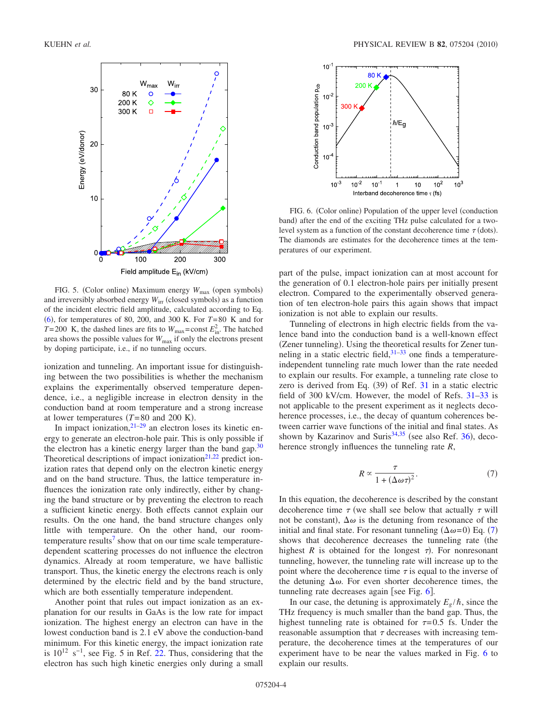<span id="page-3-0"></span>

FIG. 5. (Color online) Maximum energy  $W_{\text{max}}$  (open symbols) and irreversibly absorbed energy  $W_{\text{irr}}$  (closed symbols) as a function of the incident electric field amplitude, calculated according to Eq. [6](#page-2-2)-, for temperatures of 80, 200, and 300 K. For *T*=80 K and for  $T=200$  K, the dashed lines are fits to  $W_{\text{max}} = \text{const } E_{\text{in}}^2$ . The hatched area shows the possible values for  $W_{\text{max}}$  if only the electrons present by doping participate, i.e., if no tunneling occurs.

ionization and tunneling. An important issue for distinguishing between the two possibilities is whether the mechanism explains the experimentally observed temperature dependence, i.e., a negligible increase in electron density in the conduction band at room temperature and a strong increase at lower temperatures  $(T=80 \text{ and } 200 \text{ K})$ .

In impact ionization, $2^{1-29}$  $2^{1-29}$  $2^{1-29}$  an electron loses its kinetic energy to generate an electron-hole pair. This is only possible if the electron has a kinetic energy larger than the band gap. $30$ Theoretical descriptions of impact ionization<sup>21,[22](#page-7-3)</sup> predict ionization rates that depend only on the electron kinetic energy and on the band structure. Thus, the lattice temperature influences the ionization rate only indirectly, either by changing the band structure or by preventing the electron to reach a sufficient kinetic energy. Both effects cannot explain our results. On the one hand, the band structure changes only little with temperature. On the other hand, our roomtemperature results<sup>7</sup> show that on our time scale temperaturedependent scattering processes do not influence the electron dynamics. Already at room temperature, we have ballistic transport. Thus, the kinetic energy the electrons reach is only determined by the electric field and by the band structure, which are both essentially temperature independent.

Another point that rules out impact ionization as an explanation for our results in GaAs is the low rate for impact ionization. The highest energy an electron can have in the lowest conduction band is 2.1 eV above the conduction-band minimum. For this kinetic energy, the impact ionization rate is  $10^{12}$  s<sup>-1</sup>, see Fig. 5 in Ref. [22.](#page-7-3) Thus, considering that the electron has such high kinetic energies only during a small

<span id="page-3-2"></span>

FIG. 6. (Color online) Population of the upper level (conduction band) after the end of the exciting THz pulse calculated for a twolevel system as a function of the constant decoherence time  $\tau$  (dots). The diamonds are estimates for the decoherence times at the temperatures of our experiment.

part of the pulse, impact ionization can at most account for the generation of 0.1 electron-hole pairs per initially present electron. Compared to the experimentally observed generation of ten electron-hole pairs this again shows that impact ionization is not able to explain our results.

Tunneling of electrons in high electric fields from the valence band into the conduction band is a well-known effect (Zener tunneling). Using the theoretical results for Zener tunneling in a static electric field, $31-33$  one finds a temperatureindependent tunneling rate much lower than the rate needed to explain our results. For example, a tunneling rate close to zero is derived from Eq.  $(39)$  of Ref. [31](#page-7-4) in a static electric field of 300 kV/cm. However, the model of Refs. [31–](#page-7-4)[33](#page-7-5) is not applicable to the present experiment as it neglects decoherence processes, i.e., the decay of quantum coherences between carrier wave functions of the initial and final states. As shown by Kazarinov and Suris<sup>34,[35](#page-7-7)</sup> (see also Ref. [36](#page-7-8)), decoherence strongly influences the tunneling rate *R*,

$$
R \propto \frac{\tau}{1 + (\Delta \omega \tau)^2}.
$$
 (7)

<span id="page-3-1"></span>In this equation, the decoherence is described by the constant decoherence time  $\tau$  (we shall see below that actually  $\tau$  will not be constant),  $\Delta\omega$  is the detuning from resonance of the initial and final state. For resonant tunneling  $(\Delta \omega = 0)$  Eq. ([7](#page-3-1)) shows that decoherence decreases the tunneling rate (the highest  $R$  is obtained for the longest  $\tau$ ). For nonresonant tunneling, however, the tunneling rate will increase up to the point where the decoherence time  $\tau$  is equal to the inverse of the detuning  $\Delta\omega$ . For even shorter decoherence times, the tunneling rate decreases again [see Fig.  $6$ ].

In our case, the detuning is approximately  $E_g/\hbar$ , since the THz frequency is much smaller than the band gap. Thus, the highest tunneling rate is obtained for  $\tau=0.5$  fs. Under the reasonable assumption that  $\tau$  decreases with increasing temperature, the decoherence times at the temperatures of our experiment have to be near the values marked in Fig. [6](#page-3-2) to explain our results.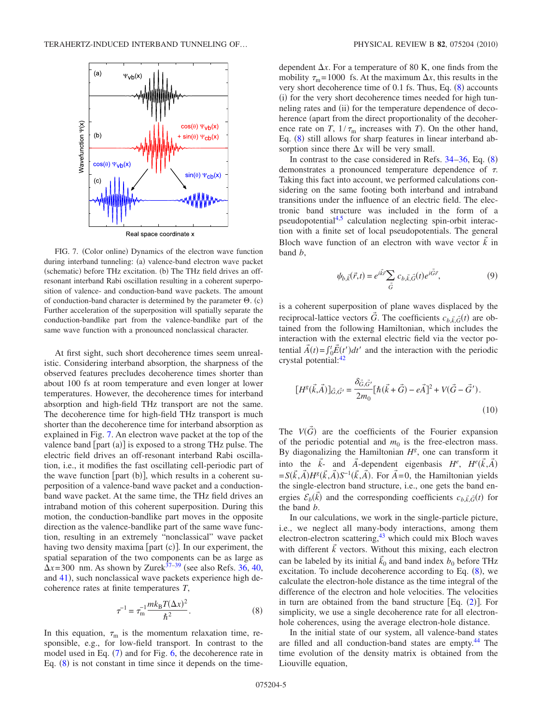<span id="page-4-0"></span>

FIG. 7. (Color online) Dynamics of the electron wave function during interband tunneling: (a) valence-band electron wave packet (schematic) before THz excitation. (b) The THz field drives an offresonant interband Rabi oscillation resulting in a coherent superposition of valence- and conduction-band wave packets. The amount of conduction-band character is determined by the parameter  $\Theta$ . (c) Further acceleration of the superposition will spatially separate the conduction-bandlike part from the valence-bandlike part of the same wave function with a pronounced nonclassical character.

At first sight, such short decoherence times seem unrealistic. Considering interband absorption, the sharpness of the observed features precludes decoherence times shorter than about 100 fs at room temperature and even longer at lower temperatures. However, the decoherence times for interband absorption and high-field THz transport are not the same. The decoherence time for high-field THz transport is much shorter than the decoherence time for interband absorption as explained in Fig. [7.](#page-4-0) An electron wave packet at the top of the valence band  $[part (a)]$  is exposed to a strong THz pulse. The electric field drives an off-resonant interband Rabi oscillation, i.e., it modifies the fast oscillating cell-periodic part of the wave function [part  $(b)$ ], which results in a coherent superposition of a valence-band wave packet and a conductionband wave packet. At the same time, the THz field drives an intraband motion of this coherent superposition. During this motion, the conduction-bandlike part moves in the opposite direction as the valence-bandlike part of the same wave function, resulting in an extremely "nonclassical" wave packet having two density maxima [part (c)]. In our experiment, the spatial separation of the two components can be as large as  $\Delta x$ =300 nm. As shown by Zurek<sup>37–[39](#page-7-10)</sup> (see also Refs. [36,](#page-7-8) [40,](#page-7-11) and [41](#page-7-12)), such nonclassical wave packets experience high decoherence rates at finite temperatures *T*,

$$
\tau^{-1} = \tau_{\rm m}^{-1} \frac{mk_{\rm B}T(\Delta x)^2}{\hbar^2}.
$$
 (8)

<span id="page-4-1"></span>In this equation,  $\tau_{\rm m}$  is the momentum relaxation time, responsible, e.g., for low-field transport. In contrast to the model used in Eq.  $(7)$  $(7)$  $(7)$  and for Fig. [6,](#page-3-2) the decoherence rate in Eq.  $(8)$  $(8)$  $(8)$  is not constant in time since it depends on the timedependent  $\Delta x$ . For a temperature of 80 K, one finds from the mobility  $\tau_m$ =1000 fs. At the maximum  $\Delta x$ , this results in the very short decoherence time of  $0.1$  fs. Thus, Eq.  $(8)$  $(8)$  $(8)$  accounts (i) for the very short decoherence times needed for high tunneling rates and (ii) for the temperature dependence of decoherence (apart from the direct proportionality of the decoherence rate on *T*,  $1/\tau_{\text{m}}$  increases with *T*). On the other hand, Eq. ([8](#page-4-1)) still allows for sharp features in linear interband absorption since there  $\Delta x$  will be very small.

In contrast to the case considered in Refs.  $34-36$  $34-36$ , Eq.  $(8)$  $(8)$  $(8)$ demonstrates a pronounced temperature dependence of . Taking this fact into account, we performed calculations considering on the same footing both interband and intraband transitions under the influence of an electric field. The electronic band structure was included in the form of a pseudopotentia[l4,](#page-6-19)[5](#page-6-9) calculation neglecting spin-orbit interaction with a finite set of local pseudopotentials. The general Bloch wave function of an electron with wave vector  $\vec{k}$  in band *b*,

$$
\psi_{b,\vec{k}}(\vec{r},t) = e^{i\vec{k}\cdot\vec{r}} \sum_{\vec{G}} c_{b,\vec{k},\vec{G}}(t) e^{i\vec{G}\cdot\vec{r}},
$$
\n(9)

is a coherent superposition of plane waves displaced by the reciprocal-lattice vectors  $\vec{G}$ . The coefficients  $c_{b,\vec{k},\vec{G}}(t)$  are obtained from the following Hamiltonian, which includes the interaction with the external electric field via the vector potential  $\vec{A}(t) = \int_0^t \vec{E}(t')dt'$  and the interaction with the periodic crystal potential[:42](#page-7-13)

$$
[H^{g}(\vec{k},\vec{A})]_{\vec{G},\vec{G'}} = \frac{\delta_{\vec{G},\vec{G'}}^{*}}{2m_{0}} [\hbar(\vec{k}+\vec{G})-e\vec{A}]^{2} + V(\vec{G}-\vec{G}').
$$
\n(10)

The  $V(\vec{G})$  are the coefficients of the Fourier expansion of the periodic potential and  $m_0$  is the free-electron mass. By diagonalizing the Hamiltonian *H<sup>g</sup>* , one can transform it into the  $\vec{k}$ - and  $\vec{A}$ -dependent eigenbasis  $H^e$ ,  $H^e(\vec{k}, \vec{A})$  $= S(\vec{k}, \vec{A})H^g(\vec{k}, \vec{A})S^{-1}(\vec{k}, \vec{A})$ . For  $\vec{A} = 0$ , the Hamiltonian yields the single-electron band structure, i.e., one gets the band energies  $\mathcal{E}_b(\vec{k})$  and the corresponding coefficients  $c_{b,\vec{k},\vec{G}}(t)$  for the band *b*.

In our calculations, we work in the single-particle picture, i.e., we neglect all many-body interactions, among them electron-electron scattering,<sup>43</sup> which could mix Bloch waves with different  $\vec{k}$  vectors. Without this mixing, each electron can be labeled by its initial  $\vec{k}_0$  and band index  $b_0$  before THz excitation. To include decoherence according to Eq.  $(8)$  $(8)$  $(8)$ , we calculate the electron-hole distance as the time integral of the difference of the electron and hole velocities. The velocities in turn are obtained from the band structure  $[Eq. (2)]$  $[Eq. (2)]$  $[Eq. (2)]$ . For simplicity, we use a single decoherence rate for all electronhole coherences, using the average electron-hole distance.

In the initial state of our system, all valence-band states are filled and all conduction-band states are empty[.44](#page-7-15) The time evolution of the density matrix is obtained from the Liouville equation,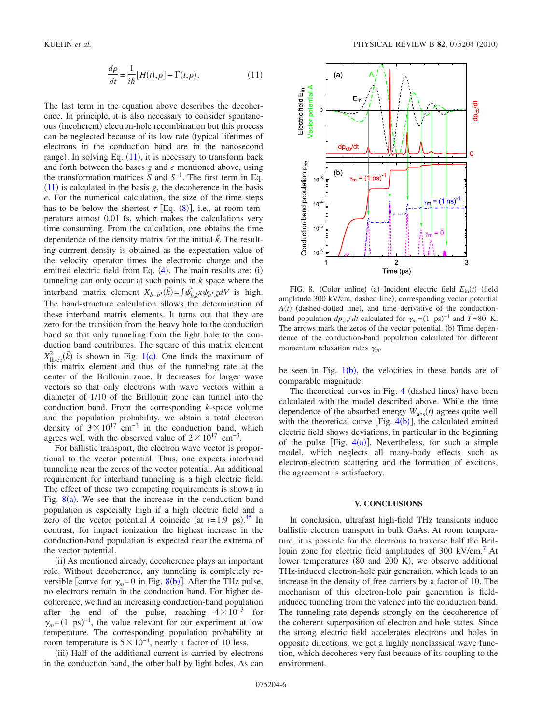$$
\frac{d\rho}{dt} = \frac{1}{i\hbar} [H(t), \rho] - \Gamma(t, \rho).
$$
 (11)

<span id="page-5-0"></span>The last term in the equation above describes the decoherence. In principle, it is also necessary to consider spontaneous (incoherent) electron-hole recombination but this process can be neglected because of its low rate (typical lifetimes of electrons in the conduction band are in the nanosecond range). In solving Eq. ([11](#page-5-0)), it is necessary to transform back and forth between the bases *g* and *e* mentioned above, using the transformation matrices *S* and *S*−1. The first term in Eq.  $(11)$  $(11)$  $(11)$  is calculated in the basis *g*, the decoherence in the basis *e*. For the numerical calculation, the size of the time steps has to be below the shortest  $\tau$  [Eq. ([8](#page-4-1))], i.e., at room temperature atmost 0.01 fs, which makes the calculations very time consuming. From the calculation, one obtains the time dependence of the density matrix for the initial  $\vec{k}$ . The resulting currrent density is obtained as the expectation value of the velocity operator times the electronic charge and the emitted electric field from Eq.  $(4)$  $(4)$  $(4)$ . The main results are:  $(i)$ tunneling can only occur at such points in *k* space where the interband matrix element  $X_{b-b}$ , $(\vec{k}) = \int \psi_{b,\vec{k}}^* x \psi_{b',\vec{k}} dV$  is high. The band-structure calculation allows the determination of these interband matrix elements. It turns out that they are zero for the transition from the heavy hole to the conduction band so that only tunneling from the light hole to the conduction band contributes. The square of this matrix element  $X_{\text{lh-cb}}^2(\vec{k})$  is shown in Fig. [1](#page-0-0)(c). One finds the maximum of this matrix element and thus of the tunneling rate at the center of the Brillouin zone. It decreases for larger wave vectors so that only electrons with wave vectors within a diameter of 1/10 of the Brillouin zone can tunnel into the conduction band. From the corresponding *k*-space volume and the population probability, we obtain a total electron density of  $3\times10^{17}$  cm<sup>-3</sup> in the conduction band, which agrees well with the observed value of  $2 \times 10^{17}$  cm<sup>-3</sup>.

For ballistic transport, the electron wave vector is proportional to the vector potential. Thus, one expects interband tunneling near the zeros of the vector potential. An additional requirement for interband tunneling is a high electric field. The effect of these two competing requirements is shown in Fig.  $8(a)$  $8(a)$ . We see that the increase in the conduction band population is especially high if a high electric field and a zero of the vector potential *A* coincide (at  $t=1.9$  ps).<sup>[45](#page-7-16)</sup> In contrast, for impact ionization the highest increase in the conduction-band population is expected near the extrema of the vector potential.

(ii) As mentioned already, decoherence plays an important role. Without decoherence, any tunneling is completely reversible [curve for  $\gamma_m = 0$  in Fig. [8](#page-5-1)(b)]. After the THz pulse, no electrons remain in the conduction band. For higher decoherence, we find an increasing conduction-band population after the end of the pulse, reaching  $4 \times 10^{-3}$  for  $\gamma_m = (1 \text{ ps})^{-1}$ , the value relevant for our experiment at low temperature. The corresponding population probability at room temperature is  $5 \times 10^{-4}$ , nearly a factor of 10 less.

(iii) Half of the additional current is carried by electrons in the conduction band, the other half by light holes. As can

<span id="page-5-1"></span>

FIG. 8. (Color online) (a) Incident electric field  $E_{\text{in}}(t)$  (field amplitude 300 kV/cm, dashed line), corresponding vector potential  $A(t)$  (dashed-dotted line), and time derivative of the conductionband population  $dp_{cb}/dt$  calculated for  $\gamma_m = (1 \text{ ps})^{-1}$  and  $T = 80 \text{ K}$ . The arrows mark the zeros of the vector potential. (b) Time dependence of the conduction-band population calculated for different momentum relaxation rates  $\gamma_m$ .

be seen in Fig.  $1(b)$  $1(b)$ , the velocities in these bands are of comparable magnitude.

The theoretical curves in Fig. [4](#page-2-1) (dashed lines) have been calculated with the model described above. While the time dependence of the absorbed energy  $W_{\text{abs}}(t)$  agrees quite well with the theoretical curve [Fig.  $4(b)$  $4(b)$ ], the calculated emitted electric field shows deviations, in particular in the beginning of the pulse [Fig.  $4(a)$  $4(a)$ ]. Nevertheless, for such a simple model, which neglects all many-body effects such as electron-electron scattering and the formation of excitons, the agreement is satisfactory.

#### **V. CONCLUSIONS**

In conclusion, ultrafast high-field THz transients induce ballistic electron transport in bulk GaAs. At room temperature, it is possible for the electrons to traverse half the Brillouin zone for electric field amplitudes of 300 kV/cm.<sup>7</sup> At lower temperatures (80 and 200 K), we observe additional THz-induced electron-hole pair generation, which leads to an increase in the density of free carriers by a factor of 10. The mechanism of this electron-hole pair generation is fieldinduced tunneling from the valence into the conduction band. The tunneling rate depends strongly on the decoherence of the coherent superposition of electron and hole states. Since the strong electric field accelerates electrons and holes in opposite directions, we get a highly nonclassical wave function, which decoheres very fast because of its coupling to the environment.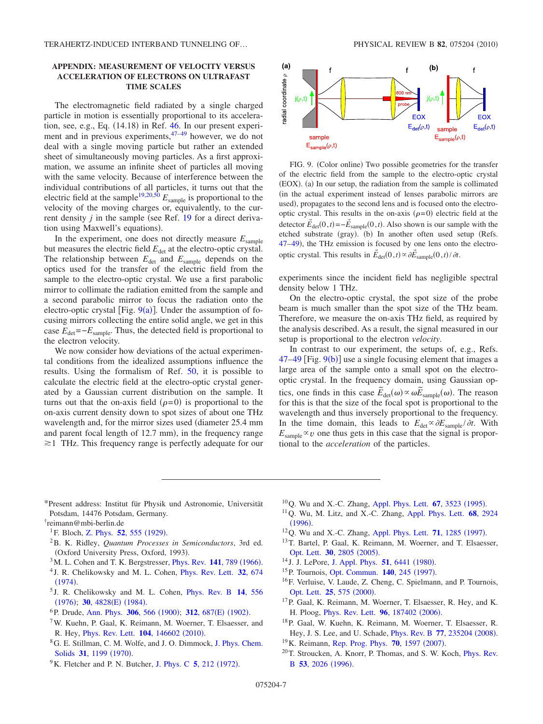## **APPENDIX: MEASUREMENT OF VELOCITY VERSUS ACCELERATION OF ELECTRONS ON ULTRAFAST TIME SCALES**

The electromagnetic field radiated by a single charged particle in motion is essentially proportional to its acceleration, see, e.g., Eq.  $(14.18)$  in Ref. [46.](#page-7-17) In our present experiment and in previous experiments, $47-49$  $47-49$  however, we do not deal with a single moving particle but rather an extended sheet of simultaneously moving particles. As a first approximation, we assume an infinite sheet of particles all moving with the same velocity. Because of interference between the individual contributions of all particles, it turns out that the electric field at the sample<sup>19,[20](#page-6-18)[,50](#page-7-20)</sup>  $E_{\text{sample}}$  is proportional to the velocity of the moving charges or, equivalently, to the current density  $j$  in the sample (see Ref. [19](#page-6-16) for a direct derivation using Maxwell's equations).

In the experiment, one does not directly measure  $E_{\text{sample}}$ but measures the electric field  $E_{\text{det}}$  at the electro-optic crystal. The relationship between  $E_{\text{det}}$  and  $E_{\text{sample}}$  depends on the optics used for the transfer of the electric field from the sample to the electro-optic crystal. We use a first parabolic mirror to collimate the radiation emitted from the sample and a second parabolic mirror to focus the radiation onto the electro-optic crystal [Fig.  $9(a)$  $9(a)$ ]. Under the assumption of focusing mirrors collecting the entire solid angle, we get in this case  $E_{\text{det}}=-E_{\text{sample}}$ . Thus, the detected field is proportional to the electron velocity.

We now consider how deviations of the actual experimental conditions from the idealized assumptions influence the results. Using the formalism of Ref. [50,](#page-7-20) it is possible to calculate the electric field at the electro-optic crystal generated by a Gaussian current distribution on the sample. It turns out that the on-axis field  $(\rho=0)$  is proportional to the on-axis current density down to spot sizes of about one THz wavelength and, for the mirror sizes used (diameter 25.4 mm) and parent focal length of 12.7 mm), in the frequency range  $\geq 1$  THz. This frequency range is perfectly adequate for our

<span id="page-6-20"></span>

FIG. 9. (Color online) Two possible geometries for the transfer of the electric field from the sample to the electro-optic crystal (EOX). (a) In our setup, the radiation from the sample is collimated in the actual experiment instead of lenses parabolic mirrors are used), propagates to the second lens and is focused onto the electrooptic crystal. This results in the on-axis  $(\rho=0)$  electric field at the detector  $\vec{E}_{\text{det}}(0, t) = -\vec{E}_{\text{sample}}(0, t)$ . Also shown is our sample with the etched substrate (gray). (b) In another often used setup (Refs. [47–](#page-7-18)[49](#page-7-19)), the THz emission is focused by one lens onto the electrooptic crystal. This results in  $\vec{E}_{\text{det}}(0, t) \propto \partial \vec{E}_{\text{sample}}(0, t) / \partial t$ .

experiments since the incident field has negligible spectral density below 1 THz.

On the electro-optic crystal, the spot size of the probe beam is much smaller than the spot size of the THz beam. Therefore, we measure the on-axis THz field, as required by the analysis described. As a result, the signal measured in our setup is proportional to the electron *velocity*.

In contrast to our experiment, the setups of, e.g., Refs.  $47-49$  $47-49$  [Fig.  $9(b)$  $9(b)$ ] use a single focusing element that images a large area of the sample onto a small spot on the electrooptic crystal. In the frequency domain, using Gaussian optics, one finds in this case  $\widetilde{E}_{\text{det}}(\omega) \propto \omega \widetilde{E}_{\text{sample}}(\omega)$ . The reason for this is that the size of the focal spot is proportional to the wavelength and thus inversely proportional to the frequency. In the time domain, this leads to  $E_{\text{det}} \propto \partial E_{\text{sample}} / \partial t$ . With  $E_{\text{sample}} \propto v$  one thus gets in this case that the signal is proportional to the *acceleration* of the particles.

<span id="page-6-0"></span>\*Present address: Institut für Physik und Astronomie, Universität Potsdam, 14476 Potsdam, Germany.

- <span id="page-6-2"></span><sup>1</sup>F. Bloch, [Z. Phys.](http://dx.doi.org/10.1007/BF01339455) **52**, 555 (1929).
- <span id="page-6-3"></span>2B. K. Ridley, *Quantum Processes in Semiconductors*, 3rd ed. (Oxford University Press, Oxford, 1993).
- <span id="page-6-8"></span> $3$ M. L. Cohen and T. K. Bergstresser, *[Phys. Rev.](http://dx.doi.org/10.1103/PhysRev.141.789)* **141**, 789 (1966).
- <span id="page-6-19"></span><sup>4</sup> J. R. Chelikowsky and M. L. Cohen, [Phys. Rev. Lett.](http://dx.doi.org/10.1103/PhysRevLett.32.674) **32**, 674  $(1974).$  $(1974).$  $(1974).$
- <span id="page-6-9"></span><sup>5</sup> J. R. Chelikowsky and M. L. Cohen, [Phys. Rev. B](http://dx.doi.org/10.1103/PhysRevB.14.556) **14**, 556 ([1976](http://dx.doi.org/10.1103/PhysRevB.14.556)); **30**, 4828(E) (1984).
- <span id="page-6-4"></span><sup>6</sup>P. Drude, [Ann. Phys.](http://dx.doi.org/10.1002/andp.19003060312) **306**, 566 (1900); **312**, 687(E) (1902).
- <span id="page-6-5"></span>7W. Kuehn, P. Gaal, K. Reimann, M. Woerner, T. Elsaesser, and R. Hey, *[Phys. Rev. Lett.](http://dx.doi.org/10.1103/PhysRevLett.104.146602)* **104**, 146602 (2010).
- <span id="page-6-6"></span>8G. E. Stillman, C. M. Wolfe, and J. O. Dimmock, [J. Phys. Chem.](http://dx.doi.org/10.1016/0022-3697(70)90122-8) Solids 31[, 1199](http://dx.doi.org/10.1016/0022-3697(70)90122-8) (1970).
- <span id="page-6-7"></span><sup>9</sup> K. Fletcher and P. N. Butcher, [J. Phys. C](http://dx.doi.org/10.1088/0022-3719/5/2/010) **5**, 212 (1972).
- <span id="page-6-10"></span><sup>10</sup>Q. Wu and X.-C. Zhang, [Appl. Phys. Lett.](http://dx.doi.org/10.1063/1.114909) **67**, 3523 (1995).
- 11Q. Wu, M. Litz, and X.-C. Zhang, [Appl. Phys. Lett.](http://dx.doi.org/10.1063/1.116356) **68**, 2924  $(1996).$  $(1996).$  $(1996).$
- $12$ Q. Wu and X.-C. Zhang, [Appl. Phys. Lett.](http://dx.doi.org/10.1063/1.119873) **71**, 1285 (1997).
- <span id="page-6-11"></span>13T. Bartel, P. Gaal, K. Reimann, M. Woerner, and T. Elsaesser, [Opt. Lett.](http://dx.doi.org/10.1364/OL.30.002805) **30**, 2805 (2005).
- <span id="page-6-12"></span><sup>14</sup> J. J. LePore, [J. Appl. Phys.](http://dx.doi.org/10.1063/1.327598) **51**, 6441 (1980).
- <span id="page-6-13"></span><sup>15</sup>P. Tournois, [Opt. Commun.](http://dx.doi.org/10.1016/S0030-4018(97)00153-3) **140**, 245 (1997).
- <span id="page-6-14"></span>16F. Verluise, V. Laude, Z. Cheng, C. Spielmann, and P. Tournois, [Opt. Lett.](http://dx.doi.org/10.1364/OL.25.000575) **25**, 575 (2000).
- <span id="page-6-15"></span>17P. Gaal, K. Reimann, M. Woerner, T. Elsaesser, R. Hey, and K. H. Ploog, *[Phys. Rev. Lett.](http://dx.doi.org/10.1103/PhysRevLett.96.187402)* **96**, 187402 (2006).
- <span id="page-6-17"></span>18P. Gaal, W. Kuehn, K. Reimann, M. Woerner, T. Elsaesser, R. Hey, J. S. Lee, and U. Schade, *[Phys. Rev. B](http://dx.doi.org/10.1103/PhysRevB.77.235204)* 77, 235204 (2008).
- <span id="page-6-16"></span><sup>19</sup> K. Reimann, [Rep. Prog. Phys.](http://dx.doi.org/10.1088/0034-4885/70/10/R02) **70**, 1597 (2007).
- <span id="page-6-18"></span>20T. Stroucken, A. Knorr, P. Thomas, and S. W. Koch, [Phys. Rev.](http://dx.doi.org/10.1103/PhysRevB.53.2026) **B** 53[, 2026](http://dx.doi.org/10.1103/PhysRevB.53.2026) (1996).

<span id="page-6-1"></span><sup>†</sup> reimann@mbi-berlin.de